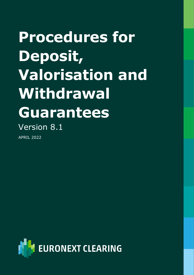# **Procedures for Deposit, Valorisation and Withdrawal Guarantees** Version 8.1

APRIL 2022

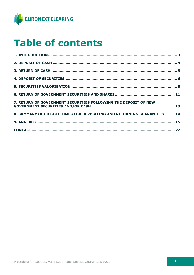

# **Table of contents**

| 7. RETURN OF GOVERNMENT SECURITIES FOLLOWING THE DEPOSIT OF NEW        |  |
|------------------------------------------------------------------------|--|
| 8. SUMMARY OF CUT-OFF TIMES FOR DEPOSITING AND RETURNING GUARANTEES 14 |  |
|                                                                        |  |
|                                                                        |  |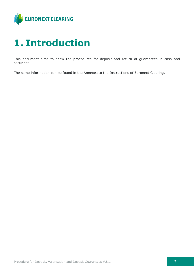

# <span id="page-2-0"></span>**1. Introduction**

This document aims to show the procedures for deposit and return of guarantees in cash and securities.

The same information can be found in the Annexes to the Instructions of Euronext Clearing.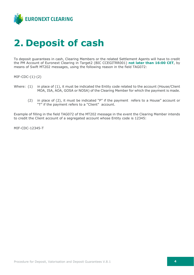

# <span id="page-3-0"></span>**2. Deposit of cash**

To deposit guarantees in cash, Clearing Members or the related Settlement Agents will have to credit the PM Account of Euronext Clearing in Target2 (BIC CCEGITRR001) **not later than 16:00 CET**, by means of Swift MT202 messages, using the following reason in the field TAG072:

MIF-CDC-(1)-(2)

- Where: (1) in place of (1), it must be indicated the Entity code related to the account (House/Client MOA, ISA, AOA, GOSA or NOSA) of the Clearing Member for which the payment is made.
	- (2) in place of (2), it must be indicated "P" if the payment refers to a House" account or "T" if the payment refers to a "Client" account.

Example of filling in the field TAG072 of the MT202 message in the event the Clearing Member intends to credit the Client account of a segregated account whose Entity code is 12345:

MIF-CDC-12345-T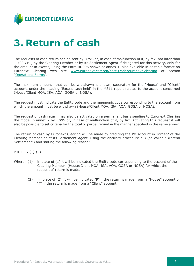

# <span id="page-4-0"></span>**3. Return of cash**

The requests of cash return can be sent by ICWS or, in case of malfunction of it, by fax, not later than 11:00 CET, by the Clearing Member or by its Settlement Agent if delegated for this activity, only for the amount in excess, using the Form RD006 shown at annex 1, also available in editable format on Euronext Clearing web site [www.euronext.com/en/post-trade/euronext-clearing](https://www.euronext.com/en/post-trade/euronext-clearing) at section "[Operations-Forms](https://www.euronext.com/en/post-trade/euronext-clearing/operations)".

The maximum amount that can be withdrawn is shown, separately for the "House" and "Client" account, under the heading "Excess cash held" in the MS11 report related to the account concerned (House/Client MOA, ISA, AOA, GOSA or NOSA).

The request must indicate the Entity code and the mnemonic code corresponding to the account from which the amount must be withdrawn (House/Client MOA, ISA, AOA, GOSA or NOSA).

The request of cash return may also be activated on a permanent basis sending to Euronext Clearing the model in annex 2 by ICWS or, in case of malfunction of it, by fax. Activating this request it will also be possible to set criteria for the total or partial refund in the manner specified in the same annex.

The return of cash by Euronext Clearing will be made by crediting the PM account in Target2 of the Clearing Member or of its Settlement Agent, using the ancillary procedure n.3 (so-called "Bilateral Settlement") and stating the following reason:

MIF-RES-(1)-(2)

- Where: (1) in place of (1) it will be indicated the Entity code corresponding to the account of the Clearing Member (House/Client MOA, ISA, AOA, GOSA or NOSA) for which the request of return is made.
	- (2) in place of (2), it will be indicated "P" if the return is made from a "House" account or "T" if the return is made from a "Client" account.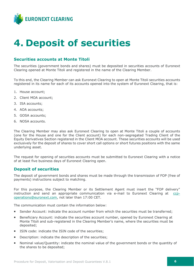

# <span id="page-5-0"></span>**4. Deposit of securities**

### **Securities accounts at Monte Titoli**

The securities (government bonds and shares) must be deposited in securities accounts of Euronext Clearing opened at Monte Titoli and registered in the name of the Clearing Member.

To this end, the Clearing Member can ask Euronext Clearing to open at Monte Titoli securities accounts registered in its name for each of its accounts opened into the system of Euronext Clearing, that is:

- 1. House account;
- 2. Client MOA account;
- 3. ISA accounts;
- 4. AOA accounts;
- 5. GOSA accounts;
- 6. NOSA accounts.

The Clearing Member may also ask Euronext Clearing to open at Monte Titoli a couple of accounts (one for the House and one for the Client account) for each non-segregated Trading Client of the Equity Derivatives Section registered in the Client MOA account. These securities accounts will be used exclusively for the deposit of shares to cover short call options or short futures positions with the same underlying asset.

The request for opening of securities accounts must be submitted to Euronext Clearing with a notice of at least five business days of Euronext Clearing open.

### **Deposit of securities**

The deposit of government bonds and shares must be made through the transmission of FOP (free of payments) instructions subject to matching.

For this purpose, the Clearing Member or its Settlement Agent must insert the "FOP delivery" instruction and send an appropriate communication via e-mail to Euronext Clearing at [ccp](mailto:ccp-operations@euronext.com)[operations@euronext.com,](mailto:ccp-operations@euronext.com) not later than 17:00 CET.

The communication must contain the information below:

- Sender Account: indicate the account number from which the securities must be transferred;
- Beneficiary Account: indicate the securities account number, opened by Euronext Clearing at Monte Titoli and sub-registered in the Clearing Member's name, where the securities must be deposited;
- ISIN code: indicate the ISIN code of the securities:
- Description: indicate the description of the securities;
- Nominal value/Quantity: indicate the nominal value of the government bonds or the quantity of the shares to be deposited;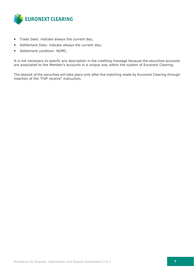

- Trade Date: indicate always the current day;
- Settlement Date: indicate always the current day;
- Settlement condition: NOMC.

It is not necessary to specify any description in the crediting message because the securities accounts are associated to the Member's accounts in a unique way within the system of Euronext Clearing.

The deposit of the securities will take place only after the matching made by Euronext Clearing through insertion of the "FOP receive" instruction.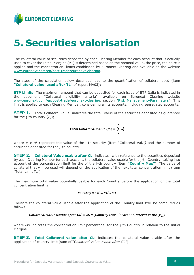

### <span id="page-7-0"></span>**5. Securities valorisation**

The collateral value of securities deposited by each Clearing Member for each account that is actually used to cover the Initial Margins (MI) is determined based on the nominal value, the price, the haircut applied and the concentration limits established by Euronext Clearing and available on the website [www.euronext.com/en/post-trade/euronext-clearing.](http://www.euronext.com/en/post-trade/euronext-clearing)

The steps of the calculation below described lead to the quantification of collateral used (item **"Collateral value used after TL"** of report MA03):

**BTP Limits:** The maximum amount that can be deposited for each issue of BTP Italia is indicated in the document "Collateral eligibility criteria", available on Euronext Clearing website [www.euronext.com/en/post-trade/euronext-clearing](http://www.euronext.com/en/post-trade/euronext-clearing), section "[Risk Management](https://www.euronext.com/en/post-trade/euronext-clearing/risk-management/parameters)–Parameters". This limit is applied to each Clearing Member, considering all its accounts, including segregated accounts.

**STEP 1.** Total Collateral value: indicates the total value of the securities deposited as quarantee for the *j*-th country  $(P_i)$ ;

$$
Total Collateral Value (P_j) = \sum_{i}^{N} S_i^j
$$

where  $S_i^j$  e  $N^j$  represent the value of the i-th security (item "Collateral Val.") and the number of securities deposited for the j-th country.

**STEP 2. Collateral Value usable after CL:** indicates, with reference to the securities deposited by each Clearing Member for each account, the collateral value usable for the j-th Country, taking into account of the concentration limit for the of the j-th country (item **"Country Max"**). The value of collateral that will be used will depend on the application of the next total concentration limit (item "Total Limit TL").

The maximum total value potentially usable for each Country before the application of the total concentration limit is:

#### Country  $Max^j = CL^j * MI$

Therfore the collateral value usable after the application of the Country limit twill be computed as follows:

### Collateral value usable after CL<sup>j</sup> = MIN (Country Max  $^{-j}$ ; Total Collateral value  $(P_j)$ )

where  $LP<sup>j</sup>$  indicates the concentration limit percentage for the j-th Country in relation to the Initial Margins.

**STEP 3. Total Collateral value after CL:** indicates the collateral value usable after the application of country limit (sum of "*Collateral value usable after CL"*)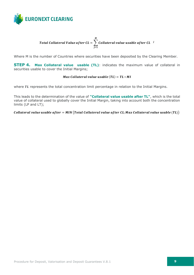

#### Total Collateral Value after CL =  $\, \big\rangle \,$  Collateral value usable after CL  $^{-j}$ M  $j=1$

Where M is the number of Countries where securities have been deposited by the Clearing Member.

**STEP 4. Max Collateral value usable (TL)**: indicates the maximum value of collateral in securities usable to cover the Initial Margins;

### Max Collateral value usable  $(TL) = TL * MI$

where  $TL$  represents the total concentration limit percentage in relation to the Initial Margins.

This leads to the determination of the value of **"Collateral value usable after TL"**, which is the total value of collateral used to globally cover the Initial Margin, taking into account both the concentration limits (LP and LT);

Collateral value usable after =  $MIN$  (Total Collateral value after CL; Max Collateral value usable  $(TL)$ )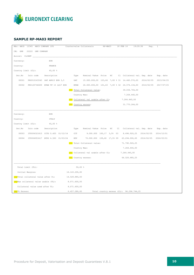

### **SAMPLE RP-MA03 REPORT**

|                  | Mbr: ABCD 12345 ABCD COMPANY LTD |                                                        | Countervalue Collaterals |                                                      | RP-MA03                                  | 18 FEB 14     | 19:20:36<br>Pag.                                                                                    | 1          |
|------------------|----------------------------------|--------------------------------------------------------|--------------------------|------------------------------------------------------|------------------------------------------|---------------|-----------------------------------------------------------------------------------------------------|------------|
|                  | CM: GKK 22222 GKK COMPANY        |                                                        |                          |                                                      |                                          |               |                                                                                                     |            |
| Accout: CLIENT   |                                  |                                                        |                          |                                                      |                                          |               |                                                                                                     |            |
| Currency:        |                                  | EUR                                                    |                          |                                                      |                                          |               |                                                                                                     |            |
| Country:         |                                  | FRANCE                                                 |                          |                                                      |                                          |               |                                                                                                     |            |
|                  | Country limit $CL):$ 45,00 %     |                                                        |                          |                                                      |                                          |               |                                                                                                     |            |
|                  |                                  |                                                        |                          |                                                      |                                          |               | Ser. No Isin code Description . Type Nominal Vakue Price HC Cl Collateral val. Dep. date            | Exp. date  |
|                  |                                  |                                                        |                          |                                                      |                                          |               | 00001 FR0010163543 OAT APR15 EUR 3,5 OAT 15.000.000,00 103,66 7,00 % 31 14.460.570,00 2014/02/05    | 2015/04/25 |
|                  |                                  | 00002 FR0120746609 BTAN TF 1% LG17 EUR                 |                          |                                                      |                                          |               | BTAN 26.000.000,00 101,63 7,00 % 32 24.574.134,00 2014/02/05                                        | 2017/07/25 |
|                  |                                  |                                                        |                          | (1) Total Collateral value:                          |                                          |               | 39.034.704,00                                                                                       |            |
|                  |                                  |                                                        |                          | Country Max:                                         |                                          | 7.264.440,00  |                                                                                                     |            |
|                  |                                  |                                                        |                          | $(2)$ Collateral val usable after CL: $7.264.440,00$ |                                          |               |                                                                                                     |            |
|                  |                                  |                                                        |                          | (5) Country excess:                                  |                                          |               | 31,770,264,00                                                                                       |            |
|                  |                                  |                                                        |                          |                                                      |                                          |               |                                                                                                     |            |
| Currency:        |                                  | EUR                                                    |                          |                                                      |                                          |               |                                                                                                     |            |
| Country:         |                                  | ITALY                                                  |                          |                                                      |                                          |               |                                                                                                     |            |
|                  | Country limit $(CL):$ 45,00 %    |                                                        |                          |                                                      |                                          |               |                                                                                                     |            |
| Ser.No           |                                  |                                                        |                          |                                                      |                                          |               | Isin code Description Type Nominal-Vakue Price HC Cl Collateral-val. Dep. date                      | Exp. date  |
|                  |                                  | 00003 IT0004321813 CCTS 0.420 01/12/14 CCT             |                          |                                                      |                                          |               | 9.000.000 100,17 3,5% 03 8.496.920,25 2014/02/05                                                    | 2014/12/01 |
| 00004            |                                  |                                                        |                          |                                                      |                                          |               | IT0004953417 BTPS 4.500 01/03/24 BTP 70.000.000 109,60 17,5% 09 63.294.000,00 2014/02/05 2024/03/01 |            |
|                  |                                  |                                                        |                          | (1) Total Collateral value: $71.790.920,25$          |                                          |               |                                                                                                     |            |
|                  |                                  |                                                        |                          | Country Max:                                         |                                          | 7.264.440,00  |                                                                                                     |            |
|                  |                                  |                                                        |                          | $(2)$ Collateral val usable after CL: $7.264.440,00$ |                                          |               |                                                                                                     |            |
|                  |                                  |                                                        |                          | (5) Country excess:                                  |                                          | 64.526.480,25 |                                                                                                     |            |
|                  |                                  |                                                        |                          |                                                      |                                          |               |                                                                                                     |            |
|                  | Total Limit (TL):                |                                                        | $50,00$ %                |                                                      |                                          |               |                                                                                                     |            |
|                  | Initial Margins:                 |                                                        | 16.143.200,00            |                                                      |                                          |               |                                                                                                     |            |
|                  |                                  | $(3)$ Total collateral value after CL: $14.528.880,00$ |                          |                                                      |                                          |               |                                                                                                     |            |
|                  |                                  | $(4)$ Max collateral value usable (TL): 8.071.600,00   |                          |                                                      |                                          |               |                                                                                                     |            |
|                  |                                  | Collateral value used after TL: 8.071.600,00           |                          |                                                      |                                          |               |                                                                                                     |            |
| $(6)$ TL Excess: |                                  |                                                        | 6.457.280,00             |                                                      | Total country excess (CL): 96.296.744,25 |               |                                                                                                     |            |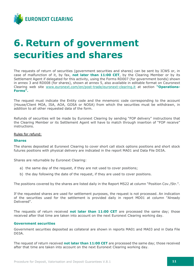

# <span id="page-10-0"></span>**6. Return of government securities and shares**

The requests of return of securities (government securities and shares) can be sent by ICWS or, in case of malfunction of it, by fax, **not later than 11:00 CET**, by the Clearing Member or by its Settlement Agent if delegated for this activity, using the Forms RD007 (for government bonds) shown in annex 3 and RD008 (for shares), shown at annex 5, also available in editable format on Ceuronext Clearing web site [www.euronext.com/en/post-trade/euronext-clearing.](https://www.euronext.com/en/post-trade/euronext-clearing)it at section **"[Operations-](https://www.euronext.com/it/post-trade/euronext-clearing/operations)[Forms](https://www.euronext.com/it/post-trade/euronext-clearing/operations)".**

The request must indicate the Entity code and the mnemonic code corresponding to the account (House/Client MOA, ISA, AOA, GOSA or NOSA) from which the securities must be withdrawn, in addition to all other requested data of the form.

Refunds of securities will be made by Euronext Clearing by sending "FOP delivery" instructions that the Clearing Member or its Settlement Agent will have to match through insertion of "FOP receive" instructions.

#### Rules for refund:

#### **Shares**

The shares deposited at Euronext Clearing to cover short call stock options positions and short stock futures positions with physical delivery are indicated in the report MA01 and Data File D03A.

Shares are returnable by Euronext Clearing:

- a) the same day of the request, if they are not used to cover positions;
- b) the day following the date of the request, if they are used to cover positions.

The positions covered by the shares are listed daily in the Report MS22 at column "Position Cov./Str.".

If the requested shares are used for settlement purposes, the request is not processed. An indication of the securities used for the settlement is provided daily in report MD01 at column "Already Delivered".

The requests of return received **not later than 11:00 CET** are processed the same day; those received after that time are taken into account on the next Euronext Clearing working day.

#### **Government securities**

Government securities deposited as collateral are shown in reports MA01 and MA03 and in Data File D03A.

The request of return received **not later than 11:00 CET** are processed the same day; those received after that time are taken into account on the next Euronext Clearing working day.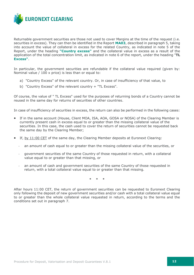

Returnable government securities are those not used to cover Margins at the time of the request (i.e. securities in excess). They can then be identified in the Report **MA03**, described in paragraph 5, taking into account the value of collateral in excess for the related Country, as indicated in note 5 of the Report, under the heading **"Country excess"** and the collateral value in excess as a result of the application of the total concentration limit, as indicated in note 6 of the report, under the heading "**TL Excess"**.

In particular, the government securities are refundable if the collateral value required (given by: Nominal value / 100 x price) is less than or equal to:

- a) "Country Excess" of the relevant country. Or, in case of insufficiency of that value, to
- b) "Country Excess" of the relevant country + "TL Excess".

Of course, the value of " TL Excess" used for the purposes of returning bonds of a Country cannot be reused in the same day for returns of securities of other countries.

In case of insufficiency of securities in excess, the return can also be performed in the following cases:

- If in the same account (House, Client MOA, ISA, AOA, GOSA or NOSA) of the Clearing Member is currently present cash in excess equal to or greater than the missing collateral value of the securities. In this case, the cash used to cover the return of securities cannot be requested back the same day by the Clearing Member;
- If, by 11:00 CET of the same day, the Clearing Member deposits at Euronext Clearing:
	- an amount of cash equal to or greater than the missing collateral value of the securities, or
	- government securities of the same Country of those requested in return, with a collateral value equal to or greater than that missing, or
	- an amount of cash and government securities of the same Country of those requested in return, with a total collateral value equal to or greater than that missing.

\* \* \*

After hours 11:00 CET, the return of government securities can be requested to Euronext Clearing only following the deposit of new government securities and/or cash with a total collateral value equal to or greater than the whole collateral value requested in return, according to the terms and the conditions set out in paragraph 7.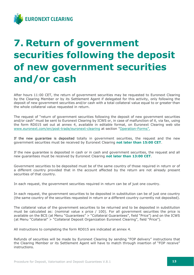

# <span id="page-12-0"></span>**7. Return of government securities following the deposit of new government securities and/or cash**

After hours 11:00 CET, the return of government securities may be requested to Euronext Clearing by the Clearing Member or by its Settlement Agent if delegated for this activity, only following the deposit of new government securities and/or cash with a total collateral value equal to or greater than the whole collateral value requested in return.

The request of "return of government securities following the deposit of new government securities and/or cash" must be sent to Euronext Clearing by ICWS or, in case of malfunction of it, via fax, using the form RD015 set out at annex 4, available in editable format, on Euronext Clearing web site [www.euronext.com/en/post-trade/euronext-clearing](http://www.euronext.com/en/post-trade/euronext-clearing) at section "[Operation-Forms](https://www.euronext.com/en/post-trade/euronext-clearing/operations)".

If the new guarantee is deposited totally in government securities, the request and the new government securities must be received by Euronext Clearing **not later than 15:00 CET**.

If the new guarantee is deposited in cash or in cash and government securities, the request and all new guarantees must be received by Euronext Clearing **not later than 13:00 CET**.

Government securities to be deposited must be of the same country of those required in return or of a different country provided that in the account affected by the return are not already present securities of that country.

In each request, the government securities required in return can be of just one country.

In each request, the government securities to be deposited in substitution can be of just one country (the same country of the securities requested in return or a different country currently not deposited).

The collateral value of the government securities to be returned and to be deposited in substitution must be calculated as: (nominal value x price  $/$  100). For all government securities the price is available on the BCS (at Menu "Guarantees" > "Collateral Guarantees", field "Price") and on the ICWS (at Menu "Collateral" > "Collateral Deposit Organization Euronext Clearing", field "Price").

All instructions to completing the form RD015 are indicated at annex 4.

Refunds of securities will be made by Euronext Clearing by sending "FOP delivery" instructions that the Clearing Member or its Settlement Agent will have to match through insertion of "FOP receive" instructions.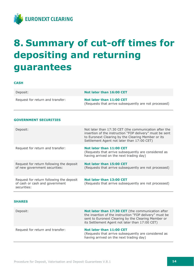

# <span id="page-13-0"></span>**8. Summary of cut-off times for depositing and returning guarantees**

#### **CASH**

| Deposit:                         | Not later than 16:00 CET                                                          |
|----------------------------------|-----------------------------------------------------------------------------------|
| Request for return and transfer: | Not later than 11:00 CET<br>(Requests that arrive subsequently are not processed) |

#### **GOVERNMENT SECURITIES**

| Deposit:                                                                                  | Not later than 17:30 CET (the communication after the<br>insertion of the instruction "FOP delivery" must be sent<br>to Euronext Clearing by the Clearing Member or its<br>Settlement Agent not later than 17:00 CET) |
|-------------------------------------------------------------------------------------------|-----------------------------------------------------------------------------------------------------------------------------------------------------------------------------------------------------------------------|
| Request for return and transfer:                                                          | Not later than 11:00 CET<br>(Requests that arrive subsequently are considered as<br>having arrived on the next trading day)                                                                                           |
| Request for return following the deposit<br>of new government securities:                 | Not later than 15:00 CET<br>(Requests that arrive subsequently are not processed)                                                                                                                                     |
| Request for return following the deposit<br>of cash or cash and government<br>securities: | Not later than 13:00 CET<br>(Requests that arrive subsequently are not processed)                                                                                                                                     |

#### **SHARES**

| Deposit:                         | Not later than 17:30 CET (the communication after<br>the insertion of the instruction "FOP delivery" must be<br>sent to Euronext Clearing by the Clearing Member or<br>its Settlement Agent not later than 17:00 CET) |
|----------------------------------|-----------------------------------------------------------------------------------------------------------------------------------------------------------------------------------------------------------------------|
| Request for return and transfer: | Not later than 11:00 CET<br>(Requests that arrive subsequently are considered as<br>having arrived on the next trading day)                                                                                           |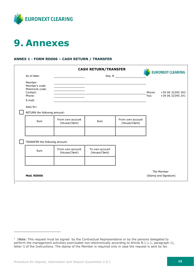

# <span id="page-14-0"></span>**9. Annexes**

### **ANNEX 1 - FORM RD006 – CASH RETURN / TRANSFER**

|                                                                                           |                                    | <b>CASH RETURN/TRANSFER</b>      |                                    |                | <b>EURONEXT CLEARING</b>             |
|-------------------------------------------------------------------------------------------|------------------------------------|----------------------------------|------------------------------------|----------------|--------------------------------------|
| As of date:                                                                               |                                    |                                  | Seq. N.                            |                |                                      |
| Member:<br>Member's code:<br>Mnemonic code:<br>Contact:<br>Phone:<br>E-mail:<br>Asks for: |                                    |                                  |                                    | Phone:<br>Fax: | +39 06 32395 303<br>+39 06 32395 241 |
| RETURN the following amount:                                                              |                                    |                                  |                                    |                |                                      |
| Euro                                                                                      | From own account<br>(House/Client) | Euro                             | From own account<br>(House/Client) |                |                                      |
|                                                                                           |                                    |                                  |                                    |                |                                      |
| TRANSFER the following amount:                                                            |                                    |                                  |                                    |                |                                      |
| Euro                                                                                      | From own account<br>(House/Client) | To own account<br>(House/Client) |                                    |                |                                      |
|                                                                                           |                                    |                                  |                                    |                |                                      |
| Mod. RD006                                                                                |                                    |                                  |                                    |                | The Member<br>(Stamp and Signature)  |

 $1$  |Note: This request must be signed by the Contractual Representative or by the persons delegated to perform the management activities exercisable non-electronically according to Article B.1.1.1, paragraph 1), letter i) of the Instructions. The stamp of the Member is required only in case the request is sent by fax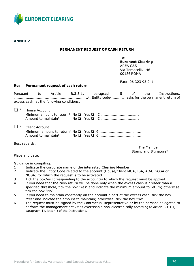

**ANNEX 2**

#### **PERMANENT REQUEST OF CASH RETURN**

To: **Euronext Clearing** AREA C&S Via Tomacelli, 146 00186 ROMA

Fax: 06 323 95 241

#### **Re: Permanent request of cash return**

|                     |                |                                           |  |  |                                                | Pursuant to Article B.3.3.1, paragraph 5 of the Instructions, |
|---------------------|----------------|-------------------------------------------|--|--|------------------------------------------------|---------------------------------------------------------------|
|                     |                | excess cash, at the following conditions: |  |  |                                                |                                                               |
| $\Box$ <sup>3</sup> | House Account  |                                           |  |  |                                                |                                                               |
| $\Box$ 3            | Client Account |                                           |  |  |                                                |                                                               |
| Best regards.       |                |                                           |  |  | The Member<br>Stamp and Signature <sup>6</sup> |                                                               |

Place and date:

Guidance in compiling:

- 1 Indicate the corporate name of the interested Clearing Member.
- 2 Indicate the Entity Code related to the account (House/Client MOA, ISA, AOA, GOSA or NOSA) for which the request is to be activated.
- 3 Tick the box/es corresponding to the account/s to which the request must be applied.
- 4 If you need that the cash return will be done only when the excess cash is greater than a specified threshold, tick the box "Yes" and indicate the minimum amount to return; otherwise tick the box "No".
- 5 If you need to maintain constantly on the account a part of the excess cash, tick the box "Yes" and indicate the amount to maintain; otherwise, tick the box "No".
- 6 The request must be signed by the Contractual Representative or by the persons delegated to perform the management activities exercisable non-electronically according to Article B.1.1.1, paragraph 1), letter i) of the Instructions.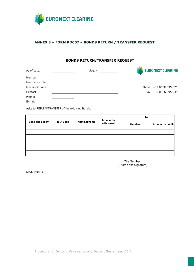

### **ANNEX 3 – FORM RD007 – BONDS RETURN / TRANSFER REQUEST**

| As of date:            | and the control of the control of the |                      | Seq. N.                         |                     | <b>EURONEXT CLEARING</b> |
|------------------------|---------------------------------------|----------------------|---------------------------------|---------------------|--------------------------|
| Member:                |                                       |                      |                                 |                     |                          |
| Member's code:         |                                       |                      |                                 |                     |                          |
| Mnemonic code:         |                                       |                      |                                 |                     | Phone: +39 06 32395 321  |
| Contact:               |                                       |                      |                                 |                     | Fax: +39 06 32395 241    |
| Phone:                 |                                       |                      |                                 |                     |                          |
| E-mail:                |                                       |                      |                                 |                     |                          |
| <b>Bond and Expiry</b> | <b>ISIN Code</b>                      | <b>Nominal value</b> | <b>Account to</b><br>withdrawal | To<br><b>Member</b> |                          |
|                        |                                       |                      |                                 |                     |                          |
|                        |                                       |                      |                                 |                     |                          |
|                        |                                       |                      |                                 |                     | <b>Account to credit</b> |
|                        |                                       |                      |                                 |                     |                          |
|                        |                                       |                      |                                 |                     |                          |

Procedure for Deposit, Valorisation and Deposit Guarantees V.8.1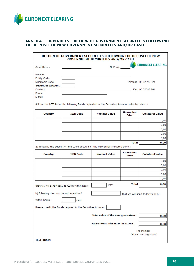

### **ANNEX 4 - FORM RD015 – RETURN OF GOVERNMENT SECURITIES FOLLOWING THE DEPOSIT OF NEW GOVERNMENT SECURITIES AND/OR CASH**

|                                           | RETURN OF GOVERNMENT SECURITIES FOLLOWING THE DEPOSIT OF NEW                                   | <b>GOVERNMENT SECURITIES AND/OR CASH</b> |                                  |                                 |
|-------------------------------------------|------------------------------------------------------------------------------------------------|------------------------------------------|----------------------------------|---------------------------------|
| As of Date:                               |                                                                                                | N. Progr.                                |                                  | <b>EURONEXT CLEARING</b>        |
| Member:                                   |                                                                                                |                                          |                                  |                                 |
| <b>Entity Code:</b>                       |                                                                                                |                                          |                                  |                                 |
| <b>Mnemonic Code:</b>                     |                                                                                                |                                          |                                  | Telefono: 06 32395 321          |
| <b>Securities Account:</b>                |                                                                                                |                                          |                                  |                                 |
| Contact:                                  |                                                                                                |                                          |                                  | Fax: 06 32395 241               |
| Phone:<br>E-mail:                         |                                                                                                |                                          |                                  |                                 |
|                                           | Ask for the RETURN of the following Bonds deposited in the Securities Account indicated above: |                                          |                                  |                                 |
| <b>Country</b>                            | <b>ISIN Code</b>                                                                               | <b>Nominal Value</b>                     | <b>Guarantee</b><br><b>Price</b> | <b>Collateral Value</b>         |
|                                           |                                                                                                |                                          |                                  | 0,00                            |
|                                           |                                                                                                |                                          |                                  | 0,00                            |
|                                           |                                                                                                |                                          |                                  | 0,00                            |
|                                           |                                                                                                |                                          |                                  | 0,00                            |
|                                           |                                                                                                |                                          |                                  | 0,00                            |
|                                           |                                                                                                |                                          | <b>Total</b>                     | 0,00                            |
|                                           | a) following the deposit on the same account of the new Bonds indicated below:                 |                                          |                                  |                                 |
| <b>Country</b>                            | <b>ISIN Code</b>                                                                               | <b>Nominal Value</b>                     | <b>Guarantee</b><br>Price        | <b>Collateral Value</b>         |
|                                           |                                                                                                |                                          |                                  | 0,00                            |
|                                           |                                                                                                |                                          |                                  | 0,00                            |
|                                           |                                                                                                |                                          |                                  | 0,00                            |
|                                           |                                                                                                |                                          |                                  | 0,00                            |
|                                           |                                                                                                |                                          |                                  | 0,00                            |
|                                           | that we will send today to CC&G within hours:                                                  | CET.                                     | <b>Total</b>                     | 0,00                            |
| b) following the cash deposit equal to €: |                                                                                                |                                          |                                  | that we will send today to CC&G |
| within hours:                             | CET.                                                                                           |                                          |                                  |                                 |
|                                           | Please, credit the Bonds required in the Securities Account:                                   |                                          |                                  |                                 |
|                                           |                                                                                                | Total value of the new guarantees:       |                                  | 0,00                            |
|                                           |                                                                                                | <b>Guarantees missing or in excess:</b>  |                                  | 0,00                            |
|                                           |                                                                                                |                                          |                                  | The Member                      |
|                                           |                                                                                                |                                          |                                  | (Stamp and Signature)           |
|                                           |                                                                                                |                                          |                                  |                                 |
| <b>Mod. RD015</b>                         |                                                                                                |                                          |                                  |                                 |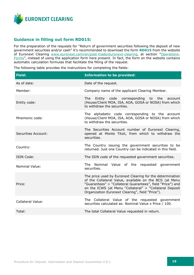

### **Guidance in filling out form RD015:**

For the preparation of the requests for "Return of government securities following the deposit of new government securities and/or cash" it's recommended to download the form **RD015** from the website of Euronext Clearing [www.euronext.com/en/post-trade/euronext-clearing,](http://www.euronext.com/en/post-trade/euronext-clearing) at section "[Operations-](https://www.euronext.com/en/post-trade/euronext-clearing/operations)[Forms](https://www.euronext.com/en/post-trade/euronext-clearing/operations)", instead of using the application form here present. In fact, the form on the website contains automatic calculation formulas that facilitate the filling of the request.

The following table provides the instructions for completing the fields:

| <b>Field:</b>              | <b>Information to be provided:</b>                                                                                                                                                                                                                                                               |
|----------------------------|--------------------------------------------------------------------------------------------------------------------------------------------------------------------------------------------------------------------------------------------------------------------------------------------------|
| As of date:                | Date of the request.                                                                                                                                                                                                                                                                             |
| Member:                    | Company name of the applicant Clearing Member.                                                                                                                                                                                                                                                   |
| Entity code:               | Entity code corresponding to the account<br>The<br>(House/Client MOA, ISA, AOA, GOSA or NOSA) from which<br>to withdraw the securities.                                                                                                                                                          |
| Mnemonic code:             | The alphabetic code corresponding to the account<br>(House/Client MOA, ISA, AOA, GOSA or NOSA) from which<br>to withdraw the securities.                                                                                                                                                         |
| <b>Securities Account:</b> | The Securities Account number of Euronext Clearing,<br>opened at Monte Titoli, from which to withdraw the<br>securities.                                                                                                                                                                         |
| Country:                   | The Country issuing the government securities to be<br>returned. Just one Country can be indicated in this field.                                                                                                                                                                                |
| <b>ISIN Code:</b>          | The ISIN code of the requested government securities.                                                                                                                                                                                                                                            |
| <b>Nominal Value:</b>      | The Nominal Value of the requested government<br>securities.                                                                                                                                                                                                                                     |
| Price:                     | The price used by Euronext Clearing for the determination<br>of the Collateral Value, available on the BCS (at Menu<br>"Guarantees" > "Collateral Guarantees", field "Price") and<br>on the ICWS (at Menu "Collateral" > "Collateral Deposit<br>Organization Euronext Clearing", field "Price"). |
| <b>Collateral Value:</b>   | The Collateral Value of the requested government<br>securities calculated as: Nominal Value x Price / 100.                                                                                                                                                                                       |
| Total:                     | The total Collateral Value requested in return.                                                                                                                                                                                                                                                  |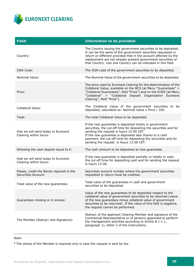

| <b>Field:</b>                                                          | <b>Information to be provided:</b>                                                                                                                                                                                                                                                                                                                |
|------------------------------------------------------------------------|---------------------------------------------------------------------------------------------------------------------------------------------------------------------------------------------------------------------------------------------------------------------------------------------------------------------------------------------------|
| Country:                                                               | The Country issuing the government securities to be deposited.<br>It can be the same of the government securities requested in<br>return or different provided that in the account affected by the<br>replacement are not already present government securities of<br>that Country. Just one Country can be indicated in this field.              |
| ISIN Code:                                                             | The ISIN code of the government securities to be deposited.                                                                                                                                                                                                                                                                                       |
| Nominal Value:                                                         | The Nominal Value of the government securities to be deposited.                                                                                                                                                                                                                                                                                   |
| Price:                                                                 | The price used by Euronext Clearing for the determination of the<br>Collateral Value, available on the BCS (at Menu "Guarantees" ><br>"Collateral Guarantees", field "Price") and on the ICWS (at Menu<br>"Collateral" > "Collateral Deposit Organization Euronext<br>Clearing", field "Price").                                                  |
| <b>Collateral Value:</b>                                               | The Collateral Value of the government securities to be<br>deposited, calculated as: Nominal Value x Price / 100.                                                                                                                                                                                                                                 |
| Total:                                                                 | The total Collateral Value to be deposited.                                                                                                                                                                                                                                                                                                       |
| that we will send today to Euronext<br>Clearing within hours:          | If the new guarantee is deposited totally in government<br>securities, the cut-off time for depositing the securities and for<br>sending the request is hours 15:00 CET.<br>If the new guarantee is deposited also thanks to a cash<br>payment, the cut-off time for depositing the securities and for<br>sending the request is hours 13:00 CET. |
| following the cash deposit equal to $\epsilon$ :                       | The cash amount to be deposited as new guarantee.                                                                                                                                                                                                                                                                                                 |
| that we will send today to Euronext<br>Clearing within hours:          | If the new guarantee is deposited partially or totally in cash,<br>the cut-off time for depositing cash and for sending the request<br>is hours 13:00.                                                                                                                                                                                            |
| Please, credit the Bonds required in the<br><b>Securities Account:</b> | Securities account number where the government securities<br>requested in return must be credited.                                                                                                                                                                                                                                                |
| Total value of the new guarantees:                                     | Total value of the guarantees in cash and government<br>securities to be deposited.                                                                                                                                                                                                                                                               |
| Guarantees missing or in excess:                                       | Value of the new guarantees to be deposited respect to the<br>collateral value of government securities to be returned (value<br>of the new guarantees minus collateral value of government<br>securities to be returned). If the value of this field is negative,<br>the request cannot be performed.                                            |
| The Member (Stamp1 and Signature):                                     | Stamp1 of the applicant Clearing Member and signature of the<br>Contractual Representative or of persons appointed to perform<br>the management activities according to Article B.1.1.1,<br>paragraph 1), letter i) of the Instructions.                                                                                                          |

\_\_\_\_\_\_\_\_\_\_\_\_\_\_\_\_\_\_\_\_\_\_\_\_\_\_\_\_\_\_\_\_\_\_\_\_\_\_\_\_\_\_\_\_\_\_\_\_\_\_\_\_\_\_\_\_\_\_\_\_\_\_\_\_\_\_\_\_\_\_\_\_\_\_\_\_\_\_\_\_\_\_\_\_\_\_\_\_\_

### Note:

**<sup>1</sup>** The stamp of the Member is required only in case the request is sent by fax.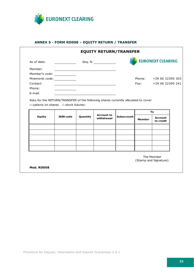

 $\Gamma$ 

### **ANNEX 5 - FORM RD008 – EQUITY RETURN / TRANSFER**

| As of date:                   |                  |          | Seq. N. _______________         |                   |               | <b>EURONEXT CLEARING</b> |
|-------------------------------|------------------|----------|---------------------------------|-------------------|---------------|--------------------------|
| Member:                       |                  |          |                                 |                   |               |                          |
| Member's code: ______________ |                  |          |                                 |                   |               |                          |
| Mnemonic code: _____________  |                  |          |                                 |                   |               | Phone: +39 06 32395 303  |
| Contact:                      |                  |          |                                 |                   |               | Fax: +39 06 32395 241    |
| Phone:                        |                  |          |                                 |                   |               |                          |
| E-mail:                       |                  |          |                                 |                   |               |                          |
| <b>Equity</b>                 | <b>ISIN code</b> | Quantity | <b>Account to</b><br>withdrawal | <b>Subaccount</b> | <b>Member</b> | <b>Account</b>           |
|                               |                  |          |                                 |                   |               | to credit                |
|                               |                  |          |                                 |                   |               |                          |
|                               |                  |          |                                 |                   |               |                          |
|                               |                  |          |                                 |                   |               |                          |
|                               |                  |          |                                 |                   |               |                          |
|                               |                  |          |                                 |                   |               |                          |

ן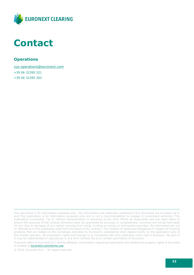

### <span id="page-21-0"></span>**Contact**

### **Operations**

[ccp-operations@euronext.com](mailto:ccp-operations@euronext.com)

+39 06 32395 321 +39 06 32395 303

This document is for information purposes only. The information and materials contained in this document are provided 'as is' and This publication is for information purposes only and is not a recommendation to engage in investment activities. This publication is provided "as is" without representation or warranty of any kind. Whilst all reasonable care has been taken to ensure the accuracy of the content, Euronext does not guarantee its accuracy or completeness. Euronext will not be held liable for any loss or damages of any nature ensuing from using, trusting or acting on information provided. No information set out or referred to in this publication shall form the basis of any contract. The creation of rights and obligations in respect of financial products that are traded on the exchanges operated by Euronext's subsidiaries shall depend solely on the applicable rules of the market operator. All proprietary rights and interest in or connected with this publication shall vest in Euronext. No part of it may be redistributed or reproduced in any form without the prior written permission of Euronext.

Euronext refers to Euronext N.V. and its affiliates. Information regarding trademarks and intellectual property rights of Euronext is located at **euronext.com/terms-use**.

© 2022, Euronext N.V. - All rights reserved.